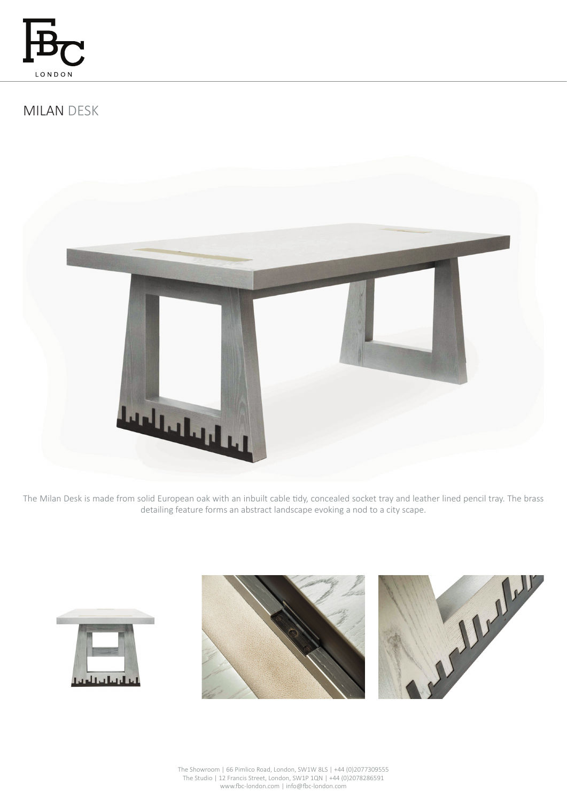

# MILAN DESK



The Milan Desk is made from solid European oak with an inbuilt cable tidy, concealed socket tray and leather lined pencil tray. The brass detailing feature forms an abstract landscape evoking a nod to a city scape.